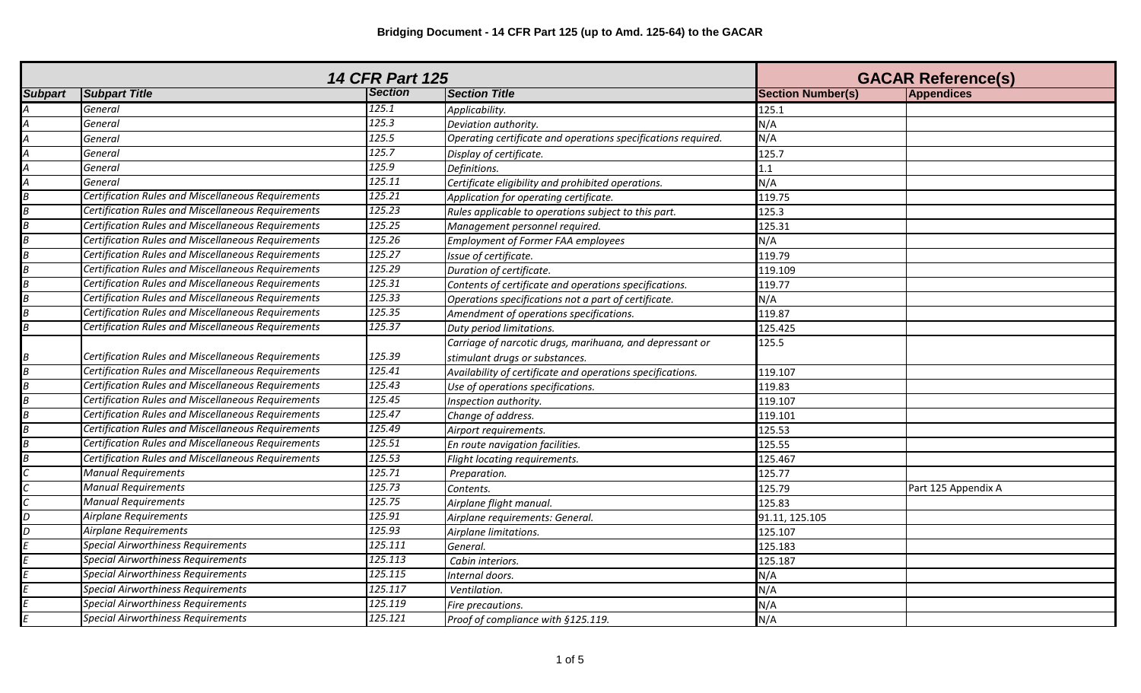| <b>14 CFR Part 125</b> |                                                           |                |                                                               | <b>GACAR Reference(s)</b> |                     |
|------------------------|-----------------------------------------------------------|----------------|---------------------------------------------------------------|---------------------------|---------------------|
| <b>Subpart</b>         | <b>Subpart Title</b>                                      | <b>Section</b> | <b>Section Title</b>                                          | <b>Section Number(s)</b>  | <b>Appendices</b>   |
|                        | General                                                   | 125.1          | Applicability.                                                | 125.1                     |                     |
|                        | General                                                   | 125.3          | Deviation authority.                                          | N/A                       |                     |
|                        | General                                                   | 125.5          | Operating certificate and operations specifications required. | N/A                       |                     |
|                        | General                                                   | 125.7          | Display of certificate.                                       | 125.7                     |                     |
|                        | General                                                   | 125.9          | Definitions.                                                  | 1.1                       |                     |
|                        | General                                                   | 125.11         | Certificate eligibility and prohibited operations.            | N/A                       |                     |
|                        | <b>Certification Rules and Miscellaneous Requirements</b> | 125.21         | Application for operating certificate.                        | 119.75                    |                     |
|                        | Certification Rules and Miscellaneous Requirements        | 125.23         | Rules applicable to operations subject to this part.          | 125.3                     |                     |
|                        | <b>Certification Rules and Miscellaneous Requirements</b> | 125.25         | Management personnel required.                                | 125.31                    |                     |
|                        | Certification Rules and Miscellaneous Requirements        | 125.26         | <b>Employment of Former FAA employees</b>                     | N/A                       |                     |
|                        | Certification Rules and Miscellaneous Requirements        | 125.27         | Issue of certificate.                                         | 119.79                    |                     |
|                        | Certification Rules and Miscellaneous Requirements        | 125.29         | Duration of certificate.                                      | 119.109                   |                     |
|                        | Certification Rules and Miscellaneous Requirements        | 125.31         | Contents of certificate and operations specifications.        | 119.77                    |                     |
|                        | <b>Certification Rules and Miscellaneous Requirements</b> | 125.33         | Operations specifications not a part of certificate.          | N/A                       |                     |
|                        | <b>Certification Rules and Miscellaneous Requirements</b> | 125.35         | Amendment of operations specifications.                       | 119.87                    |                     |
|                        | Certification Rules and Miscellaneous Requirements        | 125.37         | Duty period limitations.                                      | 125.425                   |                     |
|                        |                                                           |                | Carriage of narcotic drugs, marihuana, and depressant or      | 125.5                     |                     |
|                        | Certification Rules and Miscellaneous Requirements        | 125.39         | stimulant drugs or substances.                                |                           |                     |
|                        | Certification Rules and Miscellaneous Requirements        | 125.41         | Availability of certificate and operations specifications.    | 119.107                   |                     |
|                        | <b>Certification Rules and Miscellaneous Requirements</b> | 125.43         | Use of operations specifications.                             | 119.83                    |                     |
|                        | <b>Certification Rules and Miscellaneous Requirements</b> | 125.45         | Inspection authority.                                         | 119.107                   |                     |
|                        | Certification Rules and Miscellaneous Requirements        | 125.47         | Change of address.                                            | 119.101                   |                     |
|                        | Certification Rules and Miscellaneous Requirements        | 125.49         | Airport requirements.                                         | 125.53                    |                     |
|                        | Certification Rules and Miscellaneous Requirements        | 125.51         | En route navigation facilities.                               | 125.55                    |                     |
|                        | Certification Rules and Miscellaneous Requirements        | 125.53         | Flight locating requirements.                                 | 125.467                   |                     |
|                        | <b>Manual Requirements</b>                                | 125.71         | Preparation.                                                  | 125.77                    |                     |
|                        | <b>Manual Requirements</b>                                | 125.73         | Contents.                                                     | 125.79                    | Part 125 Appendix A |
|                        | <b>Manual Requirements</b>                                | 125.75         | Airplane flight manual.                                       | 125.83                    |                     |
|                        | <b>Airplane Requirements</b>                              | 125.91         | Airplane requirements: General.                               | 91.11, 125.105            |                     |
|                        | <b>Airplane Requirements</b>                              | 125.93         | Airplane limitations.                                         | 125.107                   |                     |
|                        | <b>Special Airworthiness Requirements</b>                 | 125.111        | General.                                                      | 125.183                   |                     |
|                        | <b>Special Airworthiness Requirements</b>                 | 125.113        | Cabin interiors.                                              | 125.187                   |                     |
|                        | <b>Special Airworthiness Requirements</b>                 | 125.115        | Internal doors.                                               | N/A                       |                     |
|                        | <b>Special Airworthiness Requirements</b>                 | 125.117        | Ventilation.                                                  | N/A                       |                     |
|                        | <b>Special Airworthiness Requirements</b>                 | 125.119        | Fire precautions.                                             | N/A                       |                     |
|                        | <b>Special Airworthiness Requirements</b>                 | 125.121        | Proof of compliance with §125.119.                            | N/A                       |                     |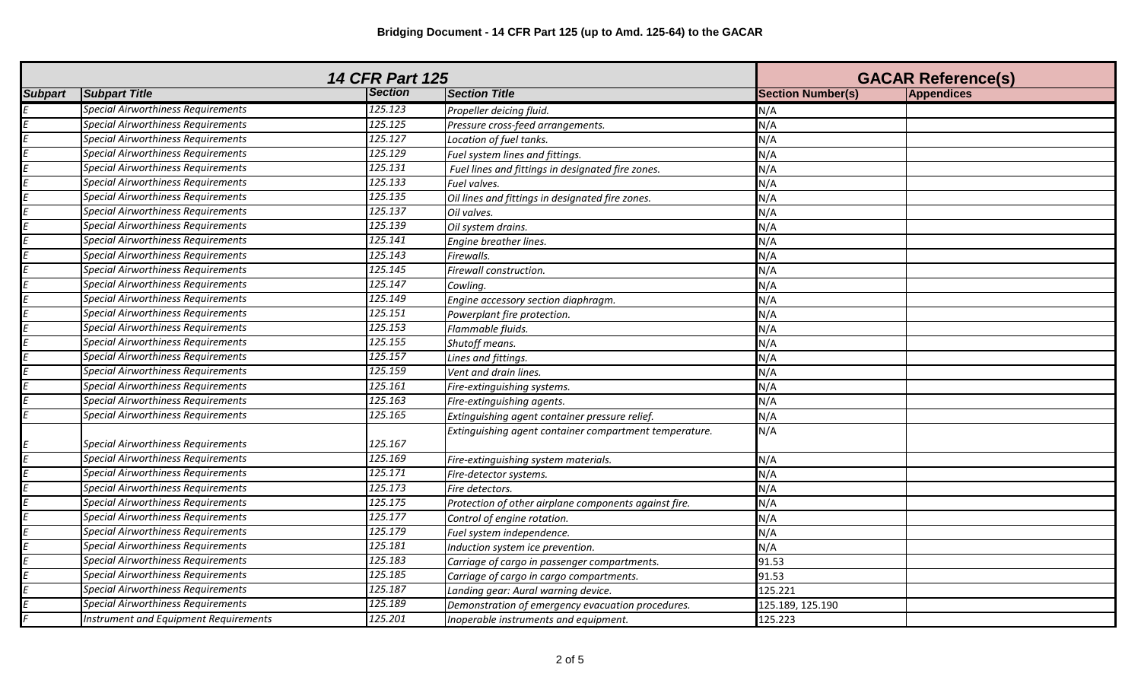| <b>14 CFR Part 125</b> |                                           |         | <b>GACAR Reference(s)</b>                              |                          |                   |
|------------------------|-------------------------------------------|---------|--------------------------------------------------------|--------------------------|-------------------|
| <b>Subpart</b>         | <b>Subpart Title</b>                      | Section | <b>Section Title</b>                                   | <b>Section Number(s)</b> | <b>Appendices</b> |
|                        | <b>Special Airworthiness Requirements</b> | 125.123 | Propeller deicing fluid.                               | N/A                      |                   |
|                        | <b>Special Airworthiness Requirements</b> | 125.125 | Pressure cross-feed arrangements.                      | N/A                      |                   |
|                        | <b>Special Airworthiness Requirements</b> | 125.127 | Location of fuel tanks.                                | N/A                      |                   |
|                        | <b>Special Airworthiness Requirements</b> | 125.129 | Fuel system lines and fittings.                        | N/A                      |                   |
|                        | <b>Special Airworthiness Requirements</b> | 125.131 | Fuel lines and fittings in designated fire zones.      | N/A                      |                   |
|                        | <b>Special Airworthiness Requirements</b> | 125.133 | Fuel valves.                                           | N/A                      |                   |
|                        | <b>Special Airworthiness Requirements</b> | 125.135 | Oil lines and fittings in designated fire zones.       | N/A                      |                   |
|                        | <b>Special Airworthiness Requirements</b> | 125.137 | Oil valves.                                            | N/A                      |                   |
|                        | <b>Special Airworthiness Requirements</b> | 125.139 | Oil system drains.                                     | N/A                      |                   |
|                        | <b>Special Airworthiness Requirements</b> | 125.141 | Engine breather lines.                                 | N/A                      |                   |
|                        | <b>Special Airworthiness Requirements</b> | 125.143 | Firewalls.                                             | N/A                      |                   |
|                        | <b>Special Airworthiness Requirements</b> | 125.145 | Firewall construction.                                 | N/A                      |                   |
|                        | <b>Special Airworthiness Requirements</b> | 125.147 | Cowling.                                               | N/A                      |                   |
|                        | <b>Special Airworthiness Requirements</b> | 125.149 | Engine accessory section diaphragm.                    | N/A                      |                   |
|                        | <b>Special Airworthiness Requirements</b> | 125.151 | Powerplant fire protection.                            | N/A                      |                   |
|                        | <b>Special Airworthiness Requirements</b> | 125.153 | Flammable fluids.                                      | N/A                      |                   |
|                        | <b>Special Airworthiness Requirements</b> | 125.155 | Shutoff means.                                         | N/A                      |                   |
|                        | <b>Special Airworthiness Requirements</b> | 125.157 | Lines and fittings.                                    | N/A                      |                   |
|                        | <b>Special Airworthiness Requirements</b> | 125.159 | Vent and drain lines.                                  | N/A                      |                   |
|                        | <b>Special Airworthiness Requirements</b> | 125.161 | Fire-extinguishing systems.                            | N/A                      |                   |
|                        | <b>Special Airworthiness Requirements</b> | 125.163 | Fire-extinguishing agents.                             | N/A                      |                   |
|                        | <b>Special Airworthiness Requirements</b> | 125.165 | Extinguishing agent container pressure relief.         | N/A                      |                   |
|                        | <b>Special Airworthiness Requirements</b> | 125.167 | Extinguishing agent container compartment temperature. | N/A                      |                   |
|                        | <b>Special Airworthiness Requirements</b> | 125.169 | Fire-extinguishing system materials.                   | N/A                      |                   |
|                        | <b>Special Airworthiness Requirements</b> | 125.171 | Fire-detector systems.                                 | N/A                      |                   |
|                        | <b>Special Airworthiness Requirements</b> | 125.173 | Fire detectors.                                        | N/A                      |                   |
|                        | <b>Special Airworthiness Requirements</b> | 125.175 | Protection of other airplane components against fire.  | N/A                      |                   |
|                        | <b>Special Airworthiness Requirements</b> | 125.177 | Control of engine rotation.                            | N/A                      |                   |
|                        | <b>Special Airworthiness Requirements</b> | 125.179 | Fuel system independence.                              | N/A                      |                   |
|                        | <b>Special Airworthiness Requirements</b> | 125.181 | Induction system ice prevention.                       | N/A                      |                   |
|                        | <b>Special Airworthiness Requirements</b> | 125.183 | Carriage of cargo in passenger compartments.           | 91.53                    |                   |
|                        | <b>Special Airworthiness Requirements</b> | 125.185 | Carriage of cargo in cargo compartments.               | 91.53                    |                   |
|                        | <b>Special Airworthiness Requirements</b> | 125.187 | Landing gear: Aural warning device.                    | 125.221                  |                   |
|                        | <b>Special Airworthiness Requirements</b> | 125.189 | Demonstration of emergency evacuation procedures.      | 125.189, 125.190         |                   |
|                        | Instrument and Equipment Requirements     | 125.201 | Inoperable instruments and equipment.                  | 125.223                  |                   |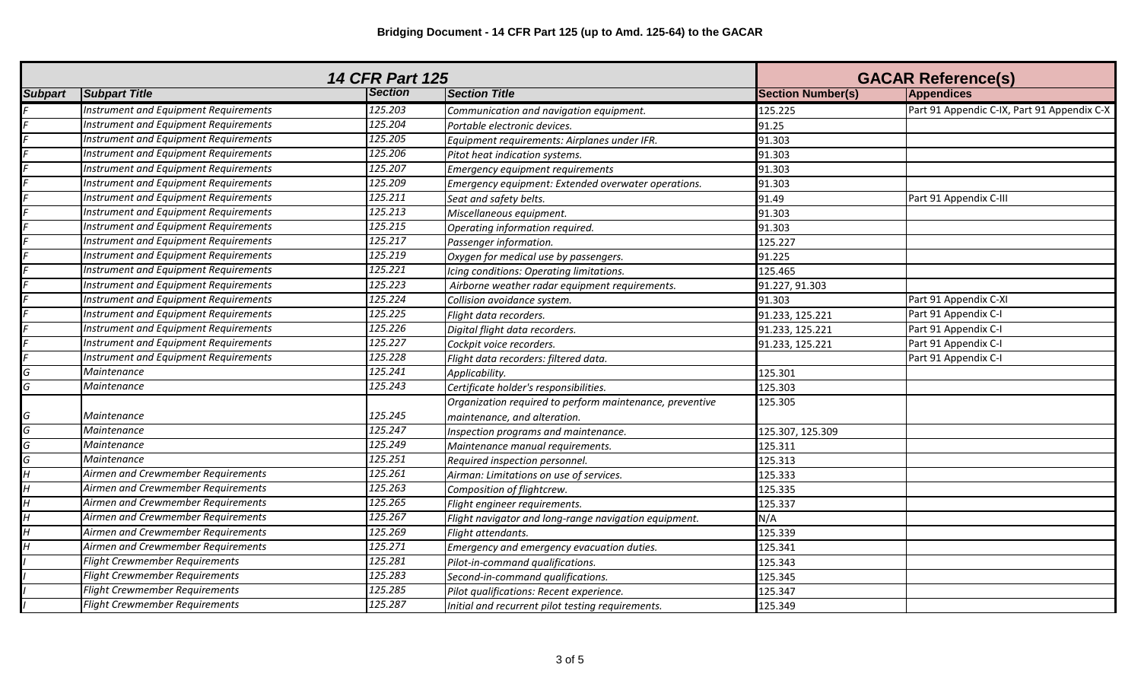| <b>14 CFR Part 125</b> |                                              |                |                                                          | <b>GACAR Reference(s)</b> |                                             |
|------------------------|----------------------------------------------|----------------|----------------------------------------------------------|---------------------------|---------------------------------------------|
| <b>Subpart</b>         | <b>Subpart Title</b>                         | <b>Section</b> | <b>Section Title</b>                                     | <b>Section Number(s)</b>  | <b>Appendices</b>                           |
|                        | Instrument and Equipment Requirements        | 125.203        | Communication and navigation equipment.                  | 125.225                   | Part 91 Appendic C-IX, Part 91 Appendix C-X |
|                        | Instrument and Equipment Requirements        | 125.204        | Portable electronic devices.                             | 91.25                     |                                             |
|                        | <b>Instrument and Equipment Requirements</b> | 125.205        | Equipment requirements: Airplanes under IFR.             | 91.303                    |                                             |
|                        | Instrument and Equipment Requirements        | 125.206        | Pitot heat indication systems.                           | 91.303                    |                                             |
|                        | Instrument and Equipment Requirements        | 125.207        | Emergency equipment requirements                         | 91.303                    |                                             |
|                        | Instrument and Equipment Requirements        | 125.209        | Emergency equipment: Extended overwater operations.      | 91.303                    |                                             |
|                        | Instrument and Equipment Requirements        | 125.211        | Seat and safety belts.                                   | 91.49                     | Part 91 Appendix C-III                      |
|                        | Instrument and Equipment Requirements        | 125.213        | Miscellaneous equipment.                                 | 91.303                    |                                             |
|                        | Instrument and Equipment Requirements        | 125.215        | Operating information required.                          | 91.303                    |                                             |
|                        | <b>Instrument and Equipment Requirements</b> | 125.217        | Passenger information.                                   | 125.227                   |                                             |
|                        | Instrument and Equipment Requirements        | 125.219        | Oxygen for medical use by passengers.                    | 91.225                    |                                             |
|                        | Instrument and Equipment Requirements        | 125.221        | Icing conditions: Operating limitations.                 | 125.465                   |                                             |
|                        | Instrument and Equipment Requirements        | 125.223        | Airborne weather radar equipment requirements.           | 91.227, 91.303            |                                             |
|                        | Instrument and Equipment Requirements        | 125.224        | Collision avoidance system.                              | 91.303                    | Part 91 Appendix C-XI                       |
|                        | Instrument and Equipment Requirements        | 125.225        | Flight data recorders.                                   | 91.233, 125.221           | Part 91 Appendix C-I                        |
|                        | Instrument and Equipment Requirements        | 125.226        | Digital flight data recorders.                           | 91.233, 125.221           | Part 91 Appendix C-I                        |
|                        | Instrument and Equipment Requirements        | 125.227        | Cockpit voice recorders.                                 | 91.233, 125.221           | Part 91 Appendix C-I                        |
|                        | Instrument and Equipment Requirements        | 125.228        | Flight data recorders: filtered data.                    |                           | Part 91 Appendix C-I                        |
| G                      | Maintenance                                  | 125.241        | Applicability.                                           | 125.301                   |                                             |
| G                      | Maintenance                                  | 125.243        | Certificate holder's responsibilities.                   | 125.303                   |                                             |
|                        |                                              |                | Organization required to perform maintenance, preventive | 125.305                   |                                             |
| G                      | Maintenance                                  | 125.245        | maintenance, and alteration.                             |                           |                                             |
| G                      | Maintenance                                  | 125.247        | Inspection programs and maintenance.                     | 125.307, 125.309          |                                             |
| G                      | Maintenance                                  | 125.249        | Maintenance manual requirements.                         | 125.311                   |                                             |
| G                      | Maintenance                                  | 125.251        | Required inspection personnel.                           | 125.313                   |                                             |
|                        | Airmen and Crewmember Requirements           | 125.261        | Airman: Limitations on use of services.                  | 125.333                   |                                             |
|                        | Airmen and Crewmember Requirements           | 125.263        | Composition of flightcrew.                               | 125.335                   |                                             |
|                        | Airmen and Crewmember Requirements           | 125.265        | Flight engineer requirements.                            | 125.337                   |                                             |
|                        | Airmen and Crewmember Requirements           | 125.267        | Flight navigator and long-range navigation equipment.    | N/A                       |                                             |
|                        | Airmen and Crewmember Requirements           | 125.269        | Flight attendants.                                       | 125.339                   |                                             |
|                        | Airmen and Crewmember Requirements           | 125.271        | Emergency and emergency evacuation duties.               | 125.341                   |                                             |
|                        | <b>Flight Crewmember Requirements</b>        | 125.281        | Pilot-in-command qualifications.                         | 125.343                   |                                             |
|                        | <b>Flight Crewmember Requirements</b>        | 125.283        | Second-in-command qualifications.                        | 125.345                   |                                             |
|                        | <b>Flight Crewmember Requirements</b>        | 125.285        | Pilot qualifications: Recent experience.                 | 125.347                   |                                             |
|                        | <b>Flight Crewmember Requirements</b>        | 125.287        | Initial and recurrent pilot testing requirements.        | 125.349                   |                                             |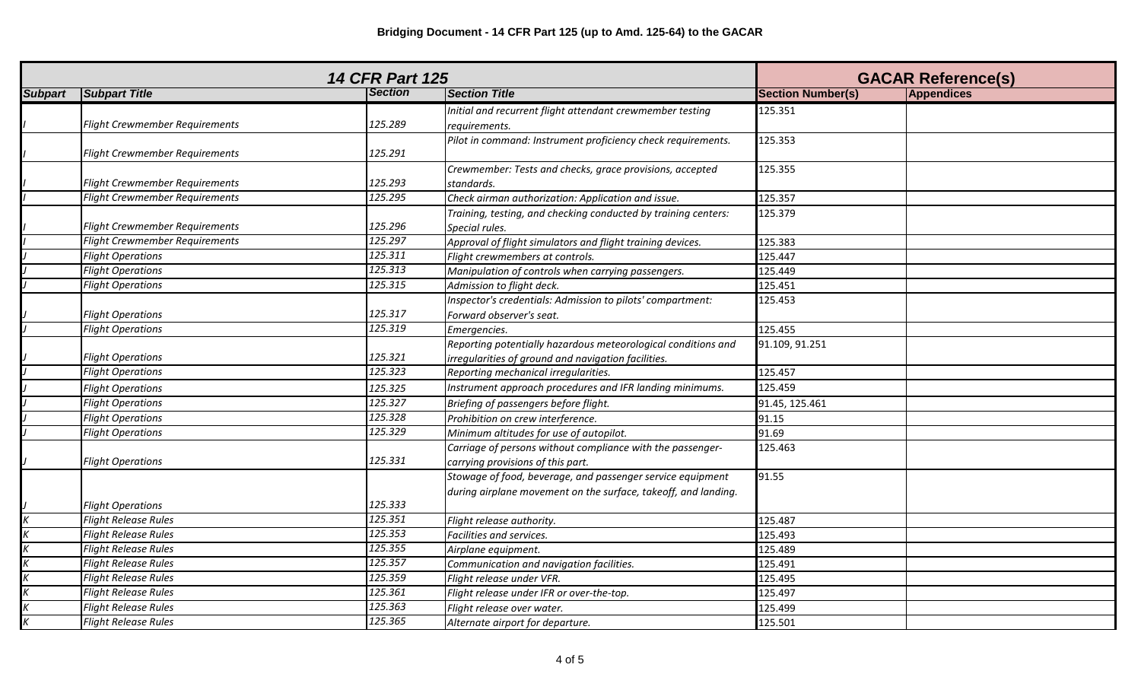| <b>14 CFR Part 125</b> |                                       |                |                                                                                                                              | <b>GACAR Reference(s)</b> |                   |
|------------------------|---------------------------------------|----------------|------------------------------------------------------------------------------------------------------------------------------|---------------------------|-------------------|
| <b>Subpart</b>         | <b>Subpart Title</b>                  | <b>Section</b> | <b>Section Title</b>                                                                                                         | <b>Section Number(s)</b>  | <b>Appendices</b> |
|                        | Flight Crewmember Requirements        | 125.289        | Initial and recurrent flight attendant crewmember testing<br>requirements.                                                   | 125.351                   |                   |
|                        | Flight Crewmember Requirements        | 125.291        | Pilot in command: Instrument proficiency check requirements.                                                                 | 125.353                   |                   |
|                        | <b>Flight Crewmember Requirements</b> | 125.293        | Crewmember: Tests and checks, grace provisions, accepted<br>standards.                                                       | 125.355                   |                   |
|                        | <b>Flight Crewmember Requirements</b> | 125.295        | Check airman authorization: Application and issue.                                                                           | 125.357                   |                   |
|                        | <b>Flight Crewmember Requirements</b> | 125.296        | Training, testing, and checking conducted by training centers:<br>Special rules.                                             | 125.379                   |                   |
|                        | Flight Crewmember Requirements        | 125.297        | Approval of flight simulators and flight training devices.                                                                   | 125.383                   |                   |
|                        | <b>Flight Operations</b>              | 125.311        | Flight crewmembers at controls.                                                                                              | 125.447                   |                   |
|                        | <b>Flight Operations</b>              | 125.313        | Manipulation of controls when carrying passengers.                                                                           | 125.449                   |                   |
|                        | <b>Flight Operations</b>              | 125.315        | Admission to flight deck.                                                                                                    | 125.451                   |                   |
|                        | <b>Flight Operations</b>              | 125.317        | Inspector's credentials: Admission to pilots' compartment:<br>Forward observer's seat.                                       | 125.453                   |                   |
|                        | <b>Flight Operations</b>              | 125.319        | Emergencies.                                                                                                                 | 125.455                   |                   |
|                        | <b>Flight Operations</b>              | 125.321        | Reporting potentially hazardous meteorological conditions and<br>irregularities of ground and navigation facilities.         | 91.109, 91.251            |                   |
|                        | <b>Flight Operations</b>              | 125.323        | Reporting mechanical irregularities.                                                                                         | 125.457                   |                   |
|                        | <b>Flight Operations</b>              | 125.325        | Instrument approach procedures and IFR landing minimums.                                                                     | 125.459                   |                   |
|                        | <b>Flight Operations</b>              | 125.327        | Briefing of passengers before flight.                                                                                        | 91.45, 125.461            |                   |
|                        | <b>Flight Operations</b>              | 125.328        | Prohibition on crew interference.                                                                                            | 91.15                     |                   |
|                        | <b>Flight Operations</b>              | 125.329        | Minimum altitudes for use of autopilot.                                                                                      | 91.69                     |                   |
|                        | <b>Flight Operations</b>              | 125.331        | Carriage of persons without compliance with the passenger-<br>carrying provisions of this part.                              | 125.463                   |                   |
|                        | <b>Flight Operations</b>              | 125.333        | Stowage of food, beverage, and passenger service equipment<br>during airplane movement on the surface, takeoff, and landing. | 91.55                     |                   |
|                        | <b>Flight Release Rules</b>           | 125.351        | Flight release authority.                                                                                                    | 125.487                   |                   |
|                        | <b>Flight Release Rules</b>           | 125.353        | Facilities and services.                                                                                                     | 125.493                   |                   |
|                        | <b>Flight Release Rules</b>           | 125.355        | Airplane equipment.                                                                                                          | 125.489                   |                   |
|                        | <b>Flight Release Rules</b>           | 125.357        | Communication and navigation facilities.                                                                                     | 125.491                   |                   |
|                        | <b>Flight Release Rules</b>           | 125.359        | Flight release under VFR.                                                                                                    | 125.495                   |                   |
|                        | <b>Flight Release Rules</b>           | 125.361        | Flight release under IFR or over-the-top.                                                                                    | 125.497                   |                   |
|                        | <b>Flight Release Rules</b>           | 125.363        | Flight release over water.                                                                                                   | 125.499                   |                   |
|                        | <b>Flight Release Rules</b>           | 125.365        | Alternate airport for departure.                                                                                             | 125.501                   |                   |